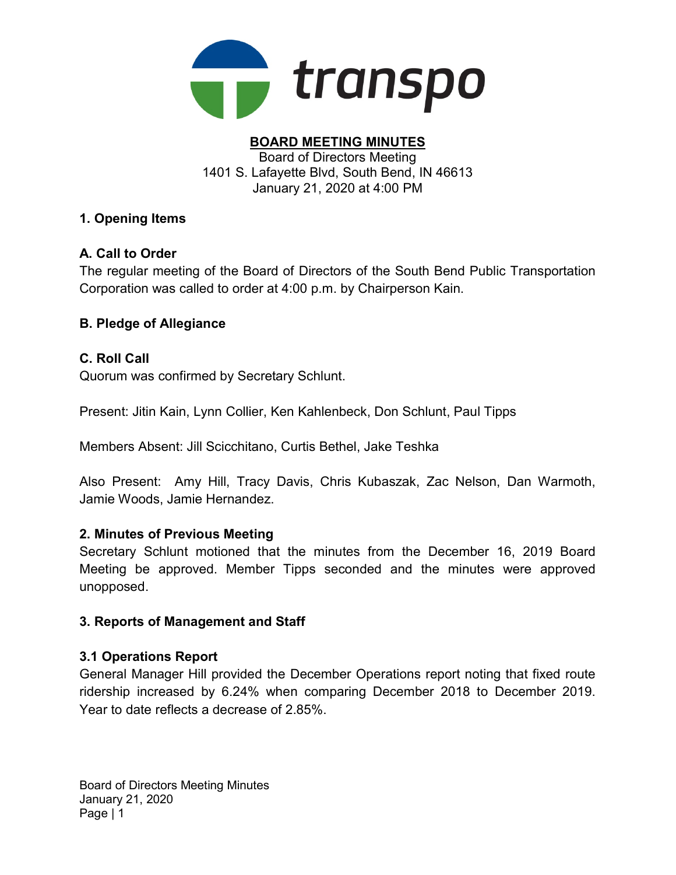

#### BOARD MEETING MINUTES Board of Directors Meeting 1401 S. Lafayette Blvd, South Bend, IN 46613 January 21, 2020 at 4:00 PM

# 1. Opening Items

# A. Call to Order

The regular meeting of the Board of Directors of the South Bend Public Transportation Corporation was called to order at 4:00 p.m. by Chairperson Kain.

# B. Pledge of Allegiance

## C. Roll Call

Quorum was confirmed by Secretary Schlunt.

Present: Jitin Kain, Lynn Collier, Ken Kahlenbeck, Don Schlunt, Paul Tipps

Members Absent: Jill Scicchitano, Curtis Bethel, Jake Teshka

Also Present: Amy Hill, Tracy Davis, Chris Kubaszak, Zac Nelson, Dan Warmoth, Jamie Woods, Jamie Hernandez.

## 2. Minutes of Previous Meeting

Secretary Schlunt motioned that the minutes from the December 16, 2019 Board Meeting be approved. Member Tipps seconded and the minutes were approved unopposed.

## 3. Reports of Management and Staff

## 3.1 Operations Report

General Manager Hill provided the December Operations report noting that fixed route ridership increased by 6.24% when comparing December 2018 to December 2019. Year to date reflects a decrease of 2.85%.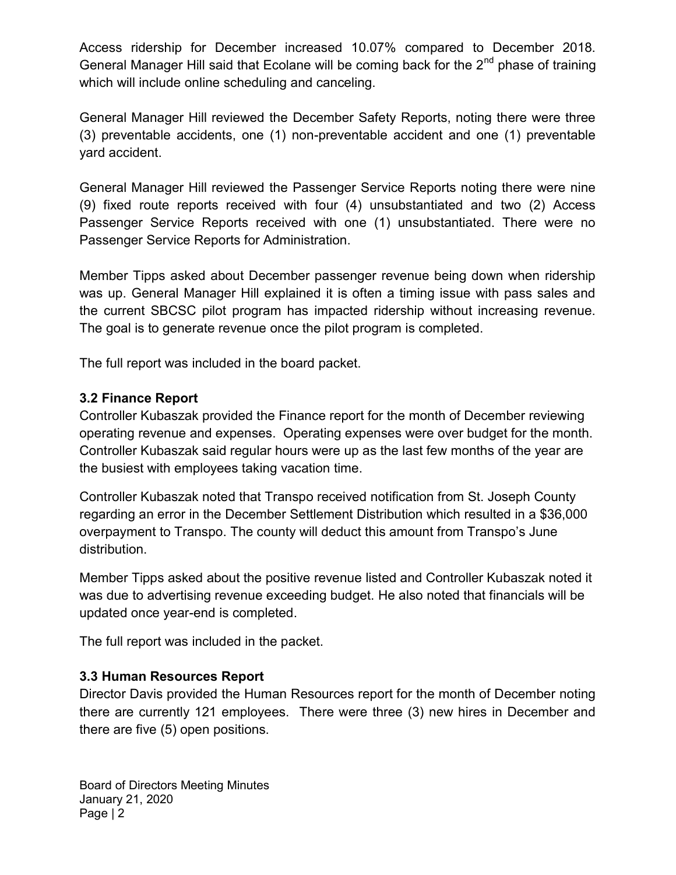Access ridership for December increased 10.07% compared to December 2018. General Manager Hill said that Ecolane will be coming back for the  $2<sup>nd</sup>$  phase of training which will include online scheduling and canceling.

General Manager Hill reviewed the December Safety Reports, noting there were three (3) preventable accidents, one (1) non-preventable accident and one (1) preventable yard accident.

General Manager Hill reviewed the Passenger Service Reports noting there were nine (9) fixed route reports received with four (4) unsubstantiated and two (2) Access Passenger Service Reports received with one (1) unsubstantiated. There were no Passenger Service Reports for Administration.

Member Tipps asked about December passenger revenue being down when ridership was up. General Manager Hill explained it is often a timing issue with pass sales and the current SBCSC pilot program has impacted ridership without increasing revenue. The goal is to generate revenue once the pilot program is completed.

The full report was included in the board packet.

# 3.2 Finance Report

Controller Kubaszak provided the Finance report for the month of December reviewing operating revenue and expenses. Operating expenses were over budget for the month. Controller Kubaszak said regular hours were up as the last few months of the year are the busiest with employees taking vacation time.

Controller Kubaszak noted that Transpo received notification from St. Joseph County regarding an error in the December Settlement Distribution which resulted in a \$36,000 overpayment to Transpo. The county will deduct this amount from Transpo's June distribution.

Member Tipps asked about the positive revenue listed and Controller Kubaszak noted it was due to advertising revenue exceeding budget. He also noted that financials will be updated once year-end is completed.

The full report was included in the packet.

# 3.3 Human Resources Report

Director Davis provided the Human Resources report for the month of December noting there are currently 121 employees. There were three (3) new hires in December and there are five (5) open positions.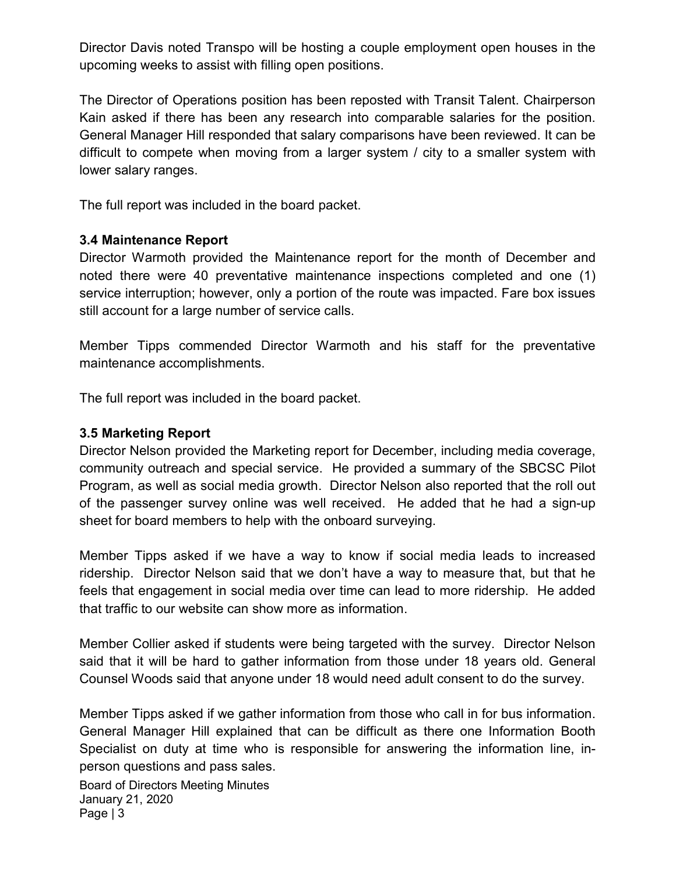Director Davis noted Transpo will be hosting a couple employment open houses in the upcoming weeks to assist with filling open positions.

The Director of Operations position has been reposted with Transit Talent. Chairperson Kain asked if there has been any research into comparable salaries for the position. General Manager Hill responded that salary comparisons have been reviewed. It can be difficult to compete when moving from a larger system / city to a smaller system with lower salary ranges.

The full report was included in the board packet.

#### 3.4 Maintenance Report

Director Warmoth provided the Maintenance report for the month of December and noted there were 40 preventative maintenance inspections completed and one (1) service interruption; however, only a portion of the route was impacted. Fare box issues still account for a large number of service calls.

Member Tipps commended Director Warmoth and his staff for the preventative maintenance accomplishments.

The full report was included in the board packet.

#### 3.5 Marketing Report

Director Nelson provided the Marketing report for December, including media coverage, community outreach and special service. He provided a summary of the SBCSC Pilot Program, as well as social media growth. Director Nelson also reported that the roll out of the passenger survey online was well received. He added that he had a sign-up sheet for board members to help with the onboard surveying.

Member Tipps asked if we have a way to know if social media leads to increased ridership. Director Nelson said that we don't have a way to measure that, but that he feels that engagement in social media over time can lead to more ridership. He added that traffic to our website can show more as information.

Member Collier asked if students were being targeted with the survey. Director Nelson said that it will be hard to gather information from those under 18 years old. General Counsel Woods said that anyone under 18 would need adult consent to do the survey.

Member Tipps asked if we gather information from those who call in for bus information. General Manager Hill explained that can be difficult as there one Information Booth Specialist on duty at time who is responsible for answering the information line, inperson questions and pass sales.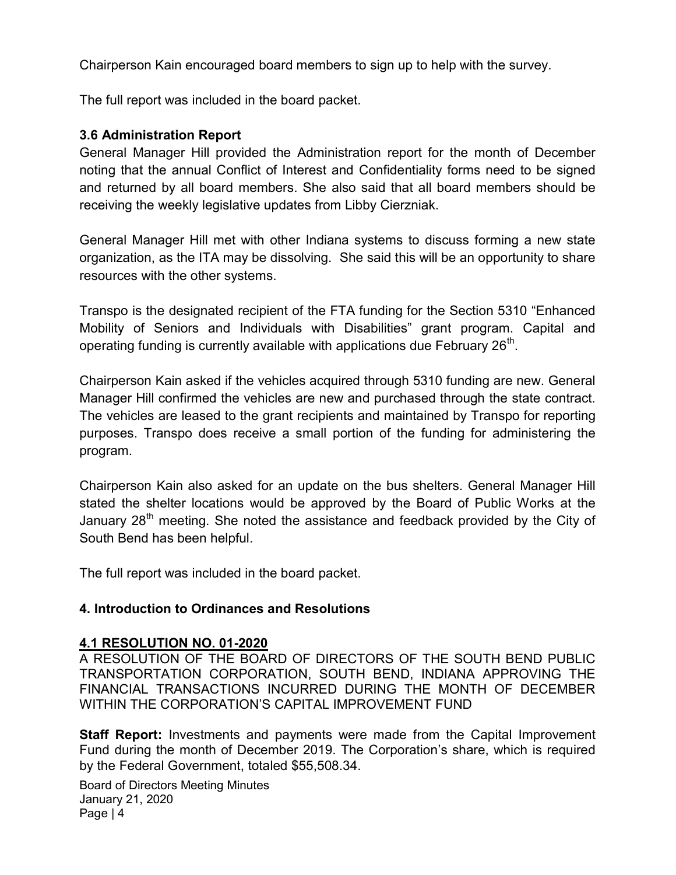Chairperson Kain encouraged board members to sign up to help with the survey.

The full report was included in the board packet.

#### 3.6 Administration Report

General Manager Hill provided the Administration report for the month of December noting that the annual Conflict of Interest and Confidentiality forms need to be signed and returned by all board members. She also said that all board members should be receiving the weekly legislative updates from Libby Cierzniak.

General Manager Hill met with other Indiana systems to discuss forming a new state organization, as the ITA may be dissolving. She said this will be an opportunity to share resources with the other systems.

Transpo is the designated recipient of the FTA funding for the Section 5310 "Enhanced Mobility of Seniors and Individuals with Disabilities" grant program. Capital and operating funding is currently available with applications due February 26 $^{\rm th}$ .

Chairperson Kain asked if the vehicles acquired through 5310 funding are new. General Manager Hill confirmed the vehicles are new and purchased through the state contract. The vehicles are leased to the grant recipients and maintained by Transpo for reporting purposes. Transpo does receive a small portion of the funding for administering the program.

Chairperson Kain also asked for an update on the bus shelters. General Manager Hill stated the shelter locations would be approved by the Board of Public Works at the January  $28<sup>th</sup>$  meeting. She noted the assistance and feedback provided by the City of South Bend has been helpful.

The full report was included in the board packet.

## 4. Introduction to Ordinances and Resolutions

#### 4.1 RESOLUTION NO. 01-2020

A RESOLUTION OF THE BOARD OF DIRECTORS OF THE SOUTH BEND PUBLIC TRANSPORTATION CORPORATION, SOUTH BEND, INDIANA APPROVING THE FINANCIAL TRANSACTIONS INCURRED DURING THE MONTH OF DECEMBER WITHIN THE CORPORATION'S CAPITAL IMPROVEMENT FUND

**Staff Report:** Investments and payments were made from the Capital Improvement Fund during the month of December 2019. The Corporation's share, which is required by the Federal Government, totaled \$55,508.34.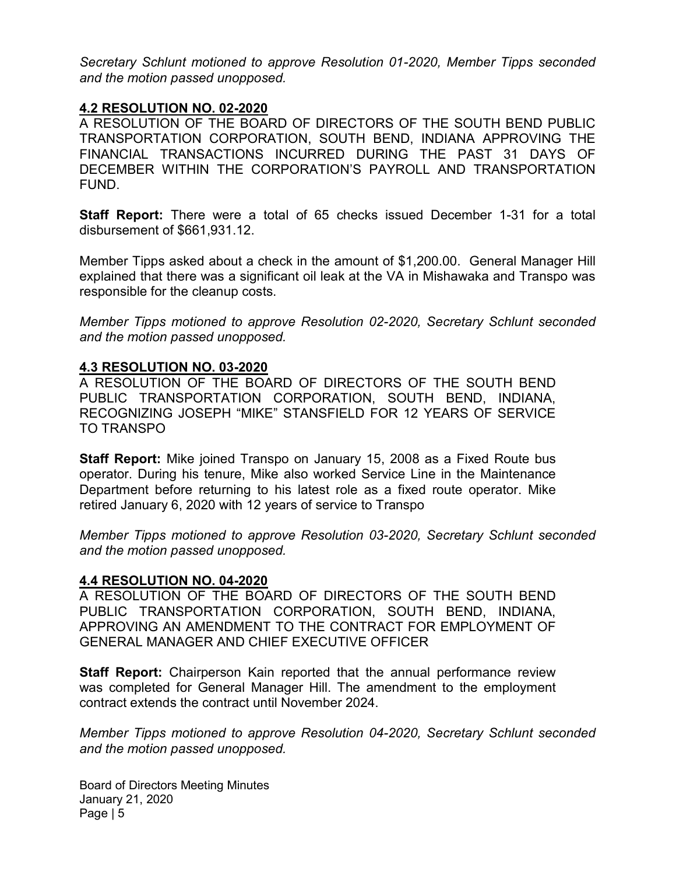Secretary Schlunt motioned to approve Resolution 01-2020, Member Tipps seconded and the motion passed unopposed.

#### 4.2 RESOLUTION NO. 02-2020

A RESOLUTION OF THE BOARD OF DIRECTORS OF THE SOUTH BEND PUBLIC TRANSPORTATION CORPORATION, SOUTH BEND, INDIANA APPROVING THE FINANCIAL TRANSACTIONS INCURRED DURING THE PAST 31 DAYS OF DECEMBER WITHIN THE CORPORATION'S PAYROLL AND TRANSPORTATION FUND.

Staff Report: There were a total of 65 checks issued December 1-31 for a total disbursement of \$661,931.12.

Member Tipps asked about a check in the amount of \$1,200.00. General Manager Hill explained that there was a significant oil leak at the VA in Mishawaka and Transpo was responsible for the cleanup costs.

Member Tipps motioned to approve Resolution 02-2020, Secretary Schlunt seconded and the motion passed unopposed.

#### 4.3 RESOLUTION NO. 03-2020

A RESOLUTION OF THE BOARD OF DIRECTORS OF THE SOUTH BEND PUBLIC TRANSPORTATION CORPORATION, SOUTH BEND, INDIANA, RECOGNIZING JOSEPH "MIKE" STANSFIELD FOR 12 YEARS OF SERVICE TO TRANSPO

Staff Report: Mike joined Transpo on January 15, 2008 as a Fixed Route bus operator. During his tenure, Mike also worked Service Line in the Maintenance Department before returning to his latest role as a fixed route operator. Mike retired January 6, 2020 with 12 years of service to Transpo

Member Tipps motioned to approve Resolution 03-2020, Secretary Schlunt seconded and the motion passed unopposed.

#### 4.4 RESOLUTION NO. 04-2020

A RESOLUTION OF THE BOARD OF DIRECTORS OF THE SOUTH BEND PUBLIC TRANSPORTATION CORPORATION, SOUTH BEND, INDIANA, APPROVING AN AMENDMENT TO THE CONTRACT FOR EMPLOYMENT OF GENERAL MANAGER AND CHIEF EXECUTIVE OFFICER

Staff Report: Chairperson Kain reported that the annual performance review was completed for General Manager Hill. The amendment to the employment contract extends the contract until November 2024.

Member Tipps motioned to approve Resolution 04-2020, Secretary Schlunt seconded and the motion passed unopposed.